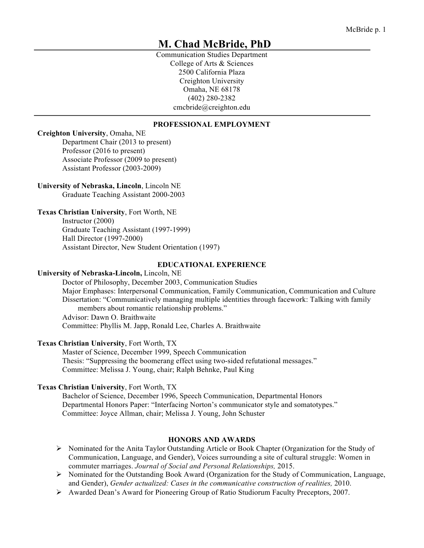# **M. Chad McBride, PhD**

Communication Studies Department College of Arts & Sciences 2500 California Plaza Creighton University Omaha, NE 68178 (402) 280-2382 cmcbride@creighton.edu

## **PROFESSIONAL EMPLOYMENT**

## **Creighton University**, Omaha, NE

Department Chair (2013 to present) Professor (2016 to present) Associate Professor (2009 to present) Assistant Professor (2003-2009)

## **University of Nebraska, Lincoln**, Lincoln NE

Graduate Teaching Assistant 2000-2003

### **Texas Christian University**, Fort Worth, NE

Instructor (2000) Graduate Teaching Assistant (1997-1999) Hall Director (1997-2000) Assistant Director, New Student Orientation (1997)

### **EDUCATIONAL EXPERIENCE**

## **University of Nebraska-Lincoln,** Lincoln, NE

Doctor of Philosophy, December 2003, Communication Studies Major Emphases: Interpersonal Communication, Family Communication, Communication and Culture Dissertation: "Communicatively managing multiple identities through facework: Talking with family members about romantic relationship problems." Advisor: Dawn O. Braithwaite Committee: Phyllis M. Japp, Ronald Lee, Charles A. Braithwaite

### **Texas Christian University**, Fort Worth, TX

Master of Science, December 1999, Speech Communication Thesis: "Suppressing the boomerang effect using two-sided refutational messages." Committee: Melissa J. Young, chair; Ralph Behnke, Paul King

### **Texas Christian University**, Fort Worth, TX

Bachelor of Science, December 1996, Speech Communication, Departmental Honors Departmental Honors Paper: "Interfacing Norton's communicator style and somatotypes." Committee: Joyce Allman, chair; Melissa J. Young, John Schuster

### **HONORS AND AWARDS**

- $\triangleright$  Nominated for the Anita Taylor Outstanding Article or Book Chapter (Organization for the Study of Communication, Language, and Gender), Voices surrounding a site of cultural struggle: Women in commuter marriages. *Journal of Social and Personal Relationships,* 2015.
- $\triangleright$  Nominated for the Outstanding Book Award (Organization for the Study of Communication, Language, and Gender), *Gender actualized: Cases in the communicative construction of realities,* 2010.
- Ø Awarded Dean's Award for Pioneering Group of Ratio Studiorum Faculty Preceptors, 2007.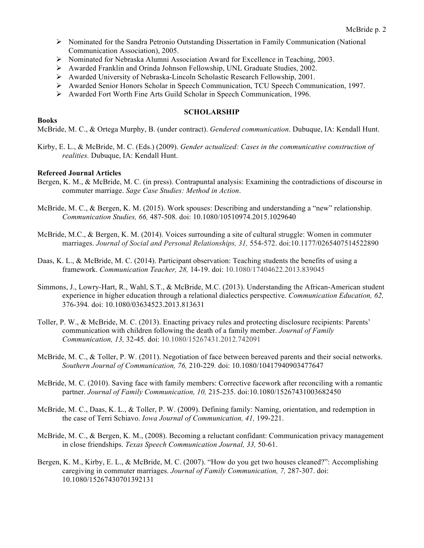- $\triangleright$  Nominated for the Sandra Petronio Outstanding Dissertation in Family Communication (National Communication Association), 2005.
- $\triangleright$  Nominated for Nebraska Alumni Association Award for Excellence in Teaching, 2003.
- Ø Awarded Franklin and Orinda Johnson Fellowship, UNL Graduate Studies, 2002.
- $\triangleright$  Awarded University of Nebraska-Lincoln Scholastic Research Fellowship, 2001.
- Ø Awarded Senior Honors Scholar in Speech Communication, TCU Speech Communication, 1997.
- Ø Awarded Fort Worth Fine Arts Guild Scholar in Speech Communication, 1996.

## **SCHOLARSHIP**

## **Books**

McBride, M. C., & Ortega Murphy, B. (under contract). *Gendered communication*. Dubuque, IA: Kendall Hunt.

Kirby, E. L., & McBride, M. C. (Eds.) (2009). *Gender actualized: Cases in the communicative construction of realities.* Dubuque, IA: Kendall Hunt.

## **Refereed Journal Articles**

- Bergen, K. M., & McBride, M. C. (in press). Contrapuntal analysis: Examining the contradictions of discourse in commuter marriage. *Sage Case Studies: Method in Action*.
- McBride, M. C., & Bergen, K. M. (2015). Work spouses: Describing and understanding a "new" relationship. *Communication Studies, 66,* 487-508*.* doi: 10.1080/10510974.2015.1029640
- McBride, M.C., & Bergen, K. M. (2014). Voices surrounding a site of cultural struggle: Women in commuter marriages. *Journal of Social and Personal Relationships, 31,* 554-572. doi:10.1177/0265407514522890
- Daas, K. L., & McBride, M. C. (2014). Participant observation: Teaching students the benefits of using a framework. *Communication Teacher, 28,* 14-19. doi: 10.1080/17404622.2013.839045
- Simmons, J., Lowry-Hart, R., Wahl, S.T., & McBride, M.C. (2013). Understanding the African-American student experience in higher education through a relational dialectics perspective. *Communication Education, 62,*  376-394*.* doi: 10.1080/03634523.2013.813631
- Toller, P. W., & McBride, M. C. (2013). Enacting privacy rules and protecting disclosure recipients: Parents' communication with children following the death of a family member. *Journal of Family Communication, 13,* 32-45*.* doi: 10.1080/15267431.2012.742091
- McBride, M. C., & Toller, P. W. (2011). Negotiation of face between bereaved parents and their social networks. *Southern Journal of Communication, 76,* 210-229*.* doi: 10.1080/10417940903477647
- McBride, M. C. (2010). Saving face with family members: Corrective facework after reconciling with a romantic partner. *Journal of Family Communication, 10,* 215-235. doi:10.1080/15267431003682450
- McBride, M. C., Daas, K. L., & Toller, P. W. (2009). Defining family: Naming, orientation, and redemption in the case of Terri Schiavo. *Iowa Journal of Communication, 41,* 199-221.
- McBride, M. C., & Bergen, K. M., (2008). Becoming a reluctant confidant: Communication privacy management in close friendships. *Texas Speech Communication Journal, 33,* 50-61.
- Bergen, K. M., Kirby, E. L., & McBride, M. C. (2007). "How do you get two houses cleaned?": Accomplishing caregiving in commuter marriages. *Journal of Family Communication, 7,* 287-307. doi: 10.1080/15267430701392131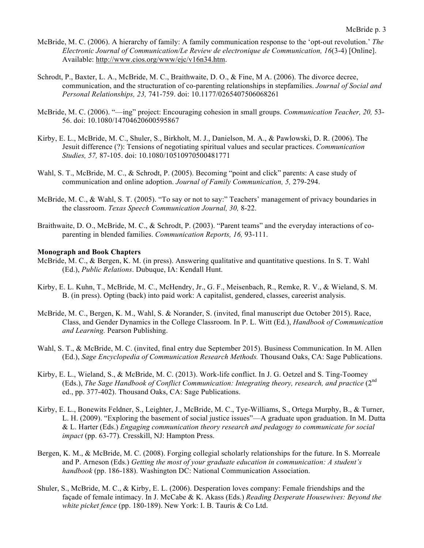- McBride, M. C. (2006). A hierarchy of family: A family communication response to the 'opt-out revolution.' *The Electronic Journal of Communication/Le Review de electronique de Communication, 16*(3-4) [Online]. Available: http://www.cios.org/www/ejc/v16n34.htm.
- Schrodt, P., Baxter, L. A., McBride, M. C., Braithwaite, D. O., & Fine, M A. (2006). The divorce decree, communication, and the structuration of co-parenting relationships in stepfamilies. *Journal of Social and Personal Relationships, 23,* 741-759. doi: 10.1177/0265407506068261
- McBride, M. C. (2006). "—ing" project: Encouraging cohesion in small groups. *Communication Teacher, 20,* 53- 56. doi: 10.1080/14704620600595867
- Kirby, E. L., McBride, M. C., Shuler, S., Birkholt, M. J., Danielson, M. A., & Pawlowski, D. R. (2006). The Jesuit difference (?): Tensions of negotiating spiritual values and secular practices. *Communication Studies, 57,* 87-105. doi: 10.1080/10510970500481771
- Wahl, S. T., McBride, M. C., & Schrodt, P. (2005). Becoming "point and click" parents: A case study of communication and online adoption. *Journal of Family Communication, 5,* 279-294.
- McBride, M. C., & Wahl, S. T. (2005). "To say or not to say:" Teachers' management of privacy boundaries in the classroom. *Texas Speech Communication Journal, 30,* 8-22.
- Braithwaite, D. O., McBride, M. C., & Schrodt, P. (2003). "Parent teams" and the everyday interactions of coparenting in blended families. *Communication Reports, 16,* 93-111.

#### **Monograph and Book Chapters**

- McBride, M. C., & Bergen, K. M. (in press). Answering qualitative and quantitative questions. In S. T. Wahl (Ed.), *Public Relations*. Dubuque, IA: Kendall Hunt.
- Kirby, E. L. Kuhn, T., McBride, M. C., McHendry, Jr., G. F., Meisenbach, R., Remke, R. V., & Wieland, S. M. B. (in press). Opting (back) into paid work: A capitalist, gendered, classes, careerist analysis.
- McBride, M. C., Bergen, K. M., Wahl, S. & Norander, S. (invited, final manuscript due October 2015). Race, Class, and Gender Dynamics in the College Classroom. In P. L. Witt (Ed.), *Handbook of Communication and Learning.* Pearson Publishing.
- Wahl, S. T., & McBride, M. C. (invited, final entry due September 2015). Business Communication. In M. Allen (Ed.), *Sage Encyclopedia of Communication Research Methods.* Thousand Oaks, CA: Sage Publications.
- Kirby, E. L., Wieland, S., & McBride, M. C. (2013). Work-life conflict. In J. G. Oetzel and S. Ting-Toomey (Eds.), *The Sage Handbook of Conflict Communication: Integrating theory, research, and practice* (2<sup>nd</sup>) ed., pp. 377-402). Thousand Oaks, CA: Sage Publications.
- Kirby, E. L., Bonewits Feldner, S., Leighter, J., McBride, M. C., Tye-Williams, S., Ortega Murphy, B., & Turner, L. H. (2009). "Exploring the basement of social justice issues"—A graduate upon graduation. In M. Dutta & L. Harter (Eds.) *Engaging communication theory research and pedagogy to communicate for social impact* (pp. 63-77)*.* Cresskill, NJ: Hampton Press.
- Bergen, K. M., & McBride, M. C. (2008). Forging collegial scholarly relationships for the future. In S. Morreale and P. Arneson (Eds.) *Getting the most of your graduate education in communication: A student's handbook* (pp. 186-188). Washington DC: National Communication Association.
- Shuler, S., McBride, M. C., & Kirby, E. L. (2006). Desperation loves company: Female friendships and the façade of female intimacy. In J. McCabe & K. Akass (Eds.) *Reading Desperate Housewives: Beyond the white picket fence* (pp. 180-189). New York: I. B. Tauris & Co Ltd.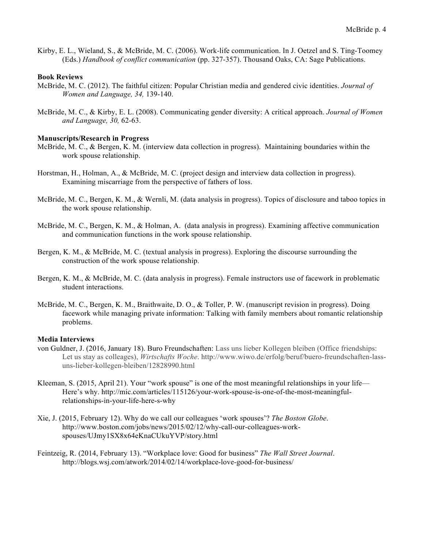Kirby, E. L., Wieland, S., & McBride, M. C. (2006). Work-life communication. In J. Oetzel and S. Ting-Toomey (Eds.) *Handbook of conflict communication* (pp. 327-357). Thousand Oaks, CA: Sage Publications.

#### **Book Reviews**

- McBride, M. C. (2012). The faithful citizen: Popular Christian media and gendered civic identities. *Journal of Women and Language, 34,* 139-140.
- McBride, M. C., & Kirby, E. L. (2008). Communicating gender diversity: A critical approach. *Journal of Women and Language, 30,* 62-63.

### **Manuscripts/Research in Progress**

- McBride, M. C., & Bergen, K. M. (interview data collection in progress). Maintaining boundaries within the work spouse relationship.
- Horstman, H., Holman, A., & McBride, M. C. (project design and interview data collection in progress). Examining miscarriage from the perspective of fathers of loss.
- McBride, M. C., Bergen, K. M., & Wernli, M. (data analysis in progress). Topics of disclosure and taboo topics in the work spouse relationship.
- McBride, M. C., Bergen, K. M., & Holman, A. (data analysis in progress). Examining affective communication and communication functions in the work spouse relationship.
- Bergen, K. M., & McBride, M. C. (textual analysis in progress). Exploring the discourse surrounding the construction of the work spouse relationship.
- Bergen, K. M., & McBride, M. C. (data analysis in progress). Female instructors use of facework in problematic student interactions.
- McBride, M. C., Bergen, K. M., Braithwaite, D. O., & Toller, P. W. (manuscript revision in progress). Doing facework while managing private information: Talking with family members about romantic relationship problems.

#### **Media Interviews**

- von Guldner, J. (2016, January 18). Buro Freundschaften: Lass uns lieber Kollegen bleiben (Office friendships: Let us stay as colleages), *Wirtschafts Woche*. http://www.wiwo.de/erfolg/beruf/buero-freundschaften-lassuns-lieber-kollegen-bleiben/12828990.html
- Kleeman, S. (2015, April 21). Your "work spouse" is one of the most meaningful relationships in your life— Here's why. http://mic.com/articles/115126/your-work-spouse-is-one-of-the-most-meaningfulrelationships-in-your-life-here-s-why
- Xie, J. (2015, February 12). Why do we call our colleagues 'work spouses'? *The Boston Globe*. http://www.boston.com/jobs/news/2015/02/12/why-call-our-colleagues-workspouses/UJmy1SX8x64eKnaCUkuYVP/story.html
- Feintzeig, R. (2014, February 13). "Workplace love: Good for business" *The Wall Street Journal*. http://blogs.wsj.com/atwork/2014/02/14/workplace-love-good-for-business/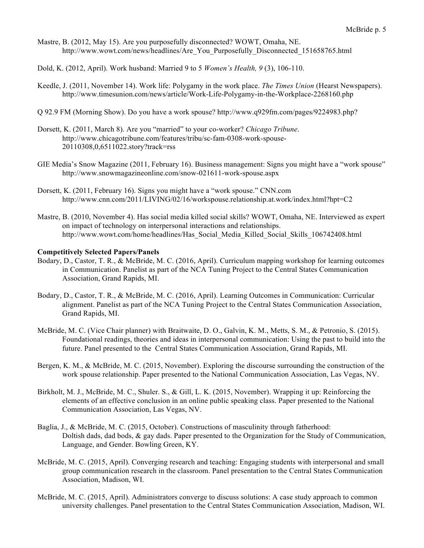- Mastre, B. (2012, May 15). Are you purposefully disconnected? WOWT, Omaha, NE. http://www.wowt.com/news/headlines/Are\_You\_Purposefully\_Disconnected\_151658765.html
- Dold, K. (2012, April). Work husband: Married 9 to 5 *Women's Health, 9* (3), 106-110.
- Keedle, J. (2011, November 14). Work life: Polygamy in the work place. *The Times Union* (Hearst Newspapers). http://www.timesunion.com/news/article/Work-Life-Polygamy-in-the-Workplace-2268160.php
- Q 92.9 FM (Morning Show). Do you have a work spouse? http://www.q929fm.com/pages/9224983.php?
- Dorsett, K. (2011, March 8). Are you "married" to your co-worker? *Chicago Tribune*. http://www.chicagotribune.com/features/tribu/sc-fam-0308-work-spouse-20110308,0,6511022.story?track=rss
- GIE Media's Snow Magazine (2011, February 16). Business management: Signs you might have a "work spouse" http://www.snowmagazineonline.com/snow-021611-work-spouse.aspx
- Dorsett, K. (2011, February 16). Signs you might have a "work spouse." CNN.com http://www.cnn.com/2011/LIVING/02/16/workspouse.relationship.at.work/index.html?hpt=C2
- Mastre, B. (2010, November 4). Has social media killed social skills? WOWT, Omaha, NE. Interviewed as expert on impact of technology on interpersonal interactions and relationships. http://www.wowt.com/home/headlines/Has\_Social\_Media\_Killed\_Social\_Skills\_106742408.html

### **Competitively Selected Papers/Panels**

- Bodary, D., Castor, T. R., & McBride, M. C. (2016, April). Curriculum mapping workshop for learning outcomes in Communication. Panelist as part of the NCA Tuning Project to the Central States Communication Association, Grand Rapids, MI.
- Bodary, D., Castor, T. R., & McBride, M. C. (2016, April). Learning Outcomes in Communication: Curricular alignment. Panelist as part of the NCA Tuning Project to the Central States Communication Association, Grand Rapids, MI.
- McBride, M. C. (Vice Chair planner) with Braitwaite, D. O., Galvin, K. M., Metts, S. M., & Petronio, S. (2015). Foundational readings, theories and ideas in interpersonal communication: Using the past to build into the future. Panel presented to the Central States Communication Association, Grand Rapids, MI.
- Bergen, K. M., & McBride, M. C. (2015, November). Exploring the discourse surrounding the construction of the work spouse relationship. Paper presented to the National Communication Association, Las Vegas, NV.
- Birkholt, M. J., McBride, M. C., Shuler. S., & Gill, L. K. (2015, November). Wrapping it up: Reinforcing the elements of an effective conclusion in an online public speaking class. Paper presented to the National Communication Association, Las Vegas, NV.
- Baglia, J., & McBride, M. C. (2015, October). Constructions of masculinity through fatherhood: Doltish dads, dad bods, & gay dads. Paper presented to the Organization for the Study of Communication, Language, and Gender. Bowling Green, KY.
- McBride, M. C. (2015, April). Converging research and teaching: Engaging students with interpersonal and small group communication research in the classroom. Panel presentation to the Central States Communication Association, Madison, WI.
- McBride, M. C. (2015, April). Administrators converge to discuss solutions: A case study approach to common university challenges. Panel presentation to the Central States Communication Association, Madison, WI.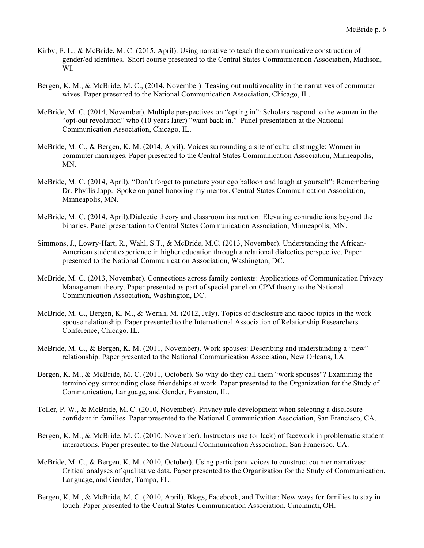- Kirby, E. L., & McBride, M. C. (2015, April). Using narrative to teach the communicative construction of gender/ed identities. Short course presented to the Central States Communication Association, Madison, WI.
- Bergen, K. M., & McBride, M. C., (2014, November). Teasing out multivocality in the narratives of commuter wives. Paper presented to the National Communication Association, Chicago, IL.
- McBride, M. C. (2014, November). Multiple perspectives on "opting in": Scholars respond to the women in the "opt-out revolution" who (10 years later) "want back in." Panel presentation at the National Communication Association, Chicago, IL.
- McBride, M. C., & Bergen, K. M. (2014, April). Voices surrounding a site of cultural struggle: Women in commuter marriages. Paper presented to the Central States Communication Association, Minneapolis, MN.
- McBride, M. C. (2014, April). "Don't forget to puncture your ego balloon and laugh at yourself": Remembering Dr. Phyllis Japp. Spoke on panel honoring my mentor. Central States Communication Association, Minneapolis, MN.
- McBride, M. C. (2014, April).Dialectic theory and classroom instruction: Elevating contradictions beyond the binaries. Panel presentation to Central States Communication Association, Minneapolis, MN.
- Simmons, J., Lowry-Hart, R., Wahl, S.T., & McBride, M.C. (2013, November). Understanding the African-American student experience in higher education through a relational dialectics perspective. Paper presented to the National Communication Association, Washington, DC.
- McBride, M. C. (2013, November). Connections across family contexts: Applications of Communication Privacy Management theory. Paper presented as part of special panel on CPM theory to the National Communication Association, Washington, DC.
- McBride, M. C., Bergen, K. M., & Wernli, M. (2012, July). Topics of disclosure and taboo topics in the work spouse relationship. Paper presented to the International Association of Relationship Researchers Conference, Chicago, IL.
- McBride, M. C., & Bergen, K. M. (2011, November). Work spouses: Describing and understanding a "new" relationship. Paper presented to the National Communication Association, New Orleans, LA.
- Bergen, K. M., & McBride, M. C. (2011, October). So why do they call them "work spouses"? Examining the terminology surrounding close friendships at work. Paper presented to the Organization for the Study of Communication, Language, and Gender, Evanston, IL.
- Toller, P. W., & McBride, M. C. (2010, November). Privacy rule development when selecting a disclosure confidant in families. Paper presented to the National Communication Association, San Francisco, CA.
- Bergen, K. M., & McBride, M. C. (2010, November). Instructors use (or lack) of facework in problematic student interactions. Paper presented to the National Communication Association, San Francisco, CA.
- McBride, M. C., & Bergen, K. M. (2010, October). Using participant voices to construct counter narratives: Critical analyses of qualitative data. Paper presented to the Organization for the Study of Communication, Language, and Gender, Tampa, FL.
- Bergen, K. M., & McBride, M. C. (2010, April). Blogs, Facebook, and Twitter: New ways for families to stay in touch. Paper presented to the Central States Communication Association, Cincinnati, OH.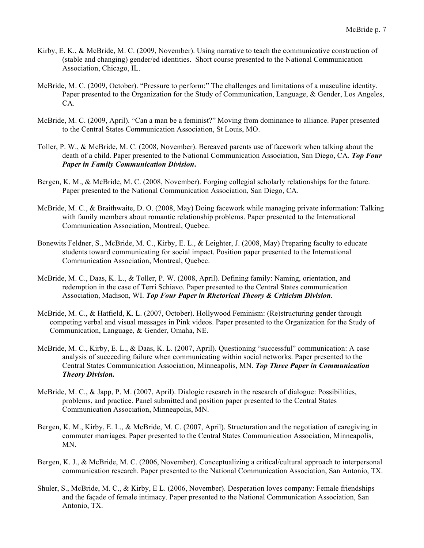- Kirby, E. K., & McBride, M. C. (2009, November). Using narrative to teach the communicative construction of (stable and changing) gender/ed identities. Short course presented to the National Communication Association, Chicago, IL.
- McBride, M. C. (2009, October). "Pressure to perform:" The challenges and limitations of a masculine identity. Paper presented to the Organization for the Study of Communication, Language, & Gender, Los Angeles, CA.
- McBride, M. C. (2009, April). "Can a man be a feminist?" Moving from dominance to alliance. Paper presented to the Central States Communication Association, St Louis, MO.
- Toller, P. W., & McBride, M. C. (2008, November). Bereaved parents use of facework when talking about the death of a child. Paper presented to the National Communication Association, San Diego, CA. *Top Four Paper in Family Communication Division***.**
- Bergen, K. M., & McBride, M. C. (2008, November). Forging collegial scholarly relationships for the future. Paper presented to the National Communication Association, San Diego, CA.
- McBride, M. C., & Braithwaite, D. O. (2008, May) Doing facework while managing private information: Talking with family members about romantic relationship problems. Paper presented to the International Communication Association, Montreal, Quebec.
- Bonewits Feldner, S., McBride, M. C., Kirby, E. L., & Leighter, J. (2008, May) Preparing faculty to educate students toward communicating for social impact. Position paper presented to the International Communication Association, Montreal, Quebec.
- McBride, M. C., Daas, K. L., & Toller, P. W. (2008, April). Defining family: Naming, orientation, and redemption in the case of Terri Schiavo. Paper presented to the Central States communication Association, Madison, WI. *Top Four Paper in Rhetorical Theory & Criticism Division.*
- McBride, M. C., & Hatfield, K. L. (2007, October). Hollywood Feminism: (Re)structuring gender through competing verbal and visual messages in Pink videos. Paper presented to the Organization for the Study of Communication, Language, & Gender, Omaha, NE.
- McBride, M. C., Kirby, E. L., & Daas, K. L. (2007, April). Questioning "successful" communication: A case analysis of succeeding failure when communicating within social networks. Paper presented to the Central States Communication Association, Minneapolis, MN. *Top Three Paper in Communication Theory Division.*
- McBride, M. C., & Japp, P. M. (2007, April). Dialogic research in the research of dialogue: Possibilities, problems, and practice. Panel submitted and position paper presented to the Central States Communication Association, Minneapolis, MN.
- Bergen, K. M., Kirby, E. L., & McBride, M. C. (2007, April). Structuration and the negotiation of caregiving in commuter marriages. Paper presented to the Central States Communication Association, Minneapolis, MN.
- Bergen, K. J., & McBride, M. C. (2006, November). Conceptualizing a critical/cultural approach to interpersonal communication research. Paper presented to the National Communication Association, San Antonio, TX.
- Shuler, S., McBride, M. C., & Kirby, E L. (2006, November). Desperation loves company: Female friendships and the façade of female intimacy. Paper presented to the National Communication Association, San Antonio, TX.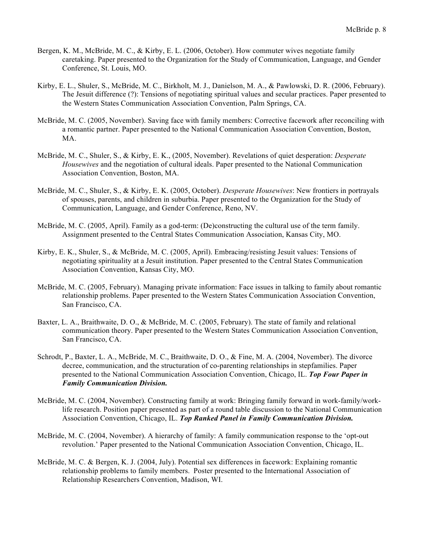- Bergen, K. M., McBride, M. C., & Kirby, E. L. (2006, October). How commuter wives negotiate family caretaking. Paper presented to the Organization for the Study of Communication, Language, and Gender Conference, St. Louis, MO.
- Kirby, E. L., Shuler, S., McBride, M. C., Birkholt, M. J., Danielson, M. A., & Pawlowski, D. R. (2006, February). The Jesuit difference (?): Tensions of negotiating spiritual values and secular practices. Paper presented to the Western States Communication Association Convention, Palm Springs, CA.
- McBride, M. C. (2005, November). Saving face with family members: Corrective facework after reconciling with a romantic partner. Paper presented to the National Communication Association Convention, Boston, MA.
- McBride, M. C., Shuler, S., & Kirby, E. K., (2005, November). Revelations of quiet desperation: *Desperate Housewives* and the negotiation of cultural ideals. Paper presented to the National Communication Association Convention, Boston, MA.
- McBride, M. C., Shuler, S., & Kirby, E. K. (2005, October). *Desperate Housewives*: New frontiers in portrayals of spouses, parents, and children in suburbia. Paper presented to the Organization for the Study of Communication, Language, and Gender Conference, Reno, NV.
- McBride, M. C. (2005, April). Family as a god-term: (De)constructing the cultural use of the term family. Assignment presented to the Central States Communication Association, Kansas City, MO.
- Kirby, E. K., Shuler, S., & McBride, M. C. (2005, April). Embracing/resisting Jesuit values: Tensions of negotiating spirituality at a Jesuit institution. Paper presented to the Central States Communication Association Convention, Kansas City, MO.
- McBride, M. C. (2005, February). Managing private information: Face issues in talking to family about romantic relationship problems. Paper presented to the Western States Communication Association Convention, San Francisco, CA.
- Baxter, L. A., Braithwaite, D. O., & McBride, M. C. (2005, February). The state of family and relational communication theory. Paper presented to the Western States Communication Association Convention, San Francisco, CA.
- Schrodt, P., Baxter, L. A., McBride, M. C., Braithwaite, D. O., & Fine, M. A. (2004, November). The divorce decree, communication, and the structuration of co-parenting relationships in stepfamilies. Paper presented to the National Communication Association Convention, Chicago, IL. *Top Four Paper in Family Communication Division.*
- McBride, M. C. (2004, November). Constructing family at work: Bringing family forward in work-family/worklife research. Position paper presented as part of a round table discussion to the National Communication Association Convention, Chicago, IL. *Top Ranked Panel in Family Communication Division.*
- McBride, M. C. (2004, November). A hierarchy of family: A family communication response to the 'opt-out revolution.' Paper presented to the National Communication Association Convention, Chicago, IL.
- McBride, M. C. & Bergen, K. J. (2004, July). Potential sex differences in facework: Explaining romantic relationship problems to family members. Poster presented to the International Association of Relationship Researchers Convention, Madison, WI.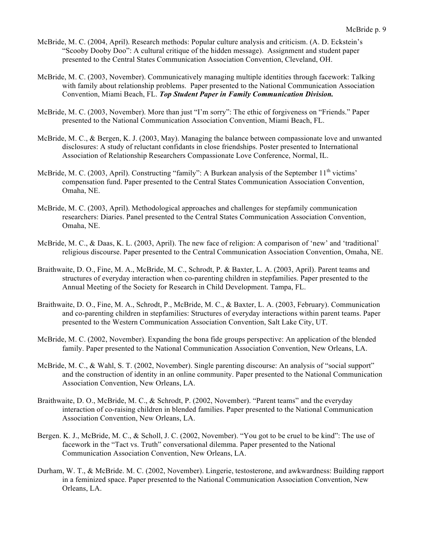- McBride, M. C. (2004, April). Research methods: Popular culture analysis and criticism. (A. D. Eckstein's "Scooby Dooby Doo": A cultural critique of the hidden message). Assignment and student paper presented to the Central States Communication Association Convention, Cleveland, OH.
- McBride, M. C. (2003, November). Communicatively managing multiple identities through facework: Talking with family about relationship problems. Paper presented to the National Communication Association Convention, Miami Beach, FL. *Top Student Paper in Family Communication Division.*
- McBride, M. C. (2003, November). More than just "I'm sorry": The ethic of forgiveness on "Friends." Paper presented to the National Communication Association Convention, Miami Beach, FL.
- McBride, M. C., & Bergen, K. J. (2003, May). Managing the balance between compassionate love and unwanted disclosures: A study of reluctant confidants in close friendships. Poster presented to International Association of Relationship Researchers Compassionate Love Conference, Normal, IL.
- McBride, M. C. (2003, April). Constructing "family": A Burkean analysis of the September  $11<sup>th</sup>$  victims' compensation fund. Paper presented to the Central States Communication Association Convention, Omaha, NE.
- McBride, M. C. (2003, April). Methodological approaches and challenges for stepfamily communication researchers: Diaries. Panel presented to the Central States Communication Association Convention, Omaha, NE.
- McBride, M. C., & Daas, K. L. (2003, April). The new face of religion: A comparison of 'new' and 'traditional' religious discourse. Paper presented to the Central Communication Association Convention, Omaha, NE.
- Braithwaite, D. O., Fine, M. A., McBride, M. C., Schrodt, P. & Baxter, L. A. (2003, April). Parent teams and structures of everyday interaction when co-parenting children in stepfamilies. Paper presented to the Annual Meeting of the Society for Research in Child Development. Tampa, FL.
- Braithwaite, D. O., Fine, M. A., Schrodt, P., McBride, M. C., & Baxter, L. A. (2003, February). Communication and co-parenting children in stepfamilies: Structures of everyday interactions within parent teams. Paper presented to the Western Communication Association Convention, Salt Lake City, UT.
- McBride, M. C. (2002, November). Expanding the bona fide groups perspective: An application of the blended family. Paper presented to the National Communication Association Convention, New Orleans, LA.
- McBride, M. C., & Wahl, S. T. (2002, November). Single parenting discourse: An analysis of "social support" and the construction of identity in an online community. Paper presented to the National Communication Association Convention, New Orleans, LA.
- Braithwaite, D. O., McBride, M. C., & Schrodt, P. (2002, November). "Parent teams" and the everyday interaction of co-raising children in blended families. Paper presented to the National Communication Association Convention, New Orleans, LA.
- Bergen. K. J., McBride, M. C., & Scholl, J. C. (2002, November). "You got to be cruel to be kind": The use of facework in the "Tact vs. Truth" conversational dilemma. Paper presented to the National Communication Association Convention, New Orleans, LA.
- Durham, W. T., & McBride. M. C. (2002, November). Lingerie, testosterone, and awkwardness: Building rapport in a feminized space. Paper presented to the National Communication Association Convention, New Orleans, LA.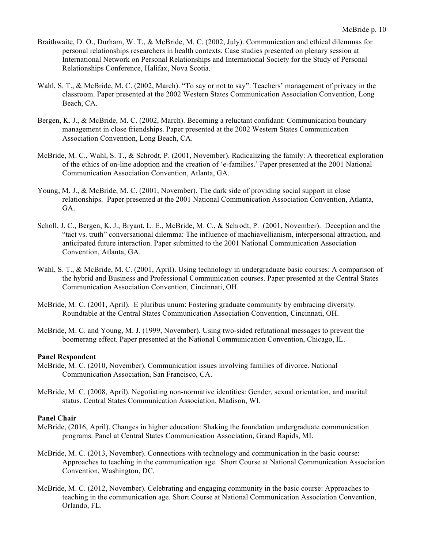- Braithwaite, D. O., Durham, W. T., & McBride, M. C. (2002, July). Communication and ethical dilemmas for personal relationships researchers in health contexts. Case studies presented on plenary session at International Network on Personal Relationships and International Society for the Study of Personal Relationships Conference, Halifax, Nova Scotia.
- Wahl, S. T., & McBride, M. C. (2002, March). "To say or not to say": Teachers' management of privacy in the classroom. Paper presented at the 2002 Western States Communication Association Convention, Long Beach, CA.
- Bergen, K. J., & McBride, M. C. (2002, March). Becoming a reluctant confidant: Communication boundary management in close friendships. Paper presented at the 2002 Western States Communication Association Convention, Long Beach, CA.
- McBride, M. C., Wahl, S. T., & Schrodt, P. (2001, November). Radicalizing the family: A theoretical exploration of the ethics of on-line adoption and the creation of 'e-families.' Paper presented at the 2001 National Communication Association Convention, Atlanta, GA.
- Young, M. J., & McBride, M. C. (2001, November). The dark side of providing social support in close relationships. Paper presented at the 2001 National Communication Association Convention, Atlanta, GA.
- Scholl, J. C., Bergen, K. J., Bryant, L. E., McBride, M. C., & Schrodt, P. (2001, November). Deception and the "tact vs. truth" conversational dilemma: The influence of machiavellianism, interpersonal attraction, and anticipated future interaction. Paper submitted to the 2001 National Communication Association Convention, Atlanta, GA.
- Wahl, S. T., & McBride, M. C. (2001, April). Using technology in undergraduate basic courses: A comparison of the hybrid and Business and Professional Communication courses. Paper presented at the Central States Communication Association Convention, Cincinnati, OH.
- McBride, M. C. (2001, April). E pluribus unum: Fostering graduate community by embracing diversity. Roundtable at the Central States Communication Association Convention, Cincinnati, OH.
- McBride, M. C. and Young, M. J. (1999, November). Using two-sided refutational messages to prevent the boomerang effect. Paper presented at the National Communication Convention, Chicago, IL.

#### **Panel Respondent**

- McBride, M. C. (2010, November). Communication issues involving families of divorce. National Communication Association, San Francisco, CA.
- McBride, M. C. (2008, April). Negotiating non-normative identities: Gender, sexual orientation, and marital status. Central States Communication Association, Madison, WI.

### **Panel Chair**

- McBride, (2016, April). Changes in higher education: Shaking the foundation undergraduate communication programs. Panel at Central States Communication Association, Grand Rapids, MI.
- McBride, M. C. (2013, November). Connections with technology and communication in the basic course: Approaches to teaching in the communication age. Short Course at National Communication Association Convention, Washington, DC.
- McBride, M. C. (2012, November). Celebrating and engaging community in the basic course: Approaches to teaching in the communication age. Short Course at National Communication Association Convention, Orlando, FL.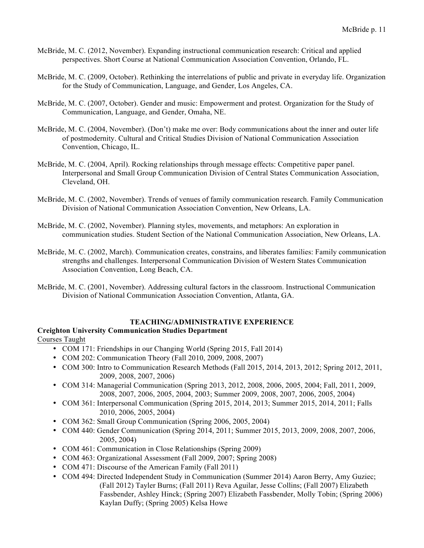- McBride, M. C. (2012, November). Expanding instructional communication research: Critical and applied perspectives. Short Course at National Communication Association Convention, Orlando, FL.
- McBride, M. C. (2009, October). Rethinking the interrelations of public and private in everyday life. Organization for the Study of Communication, Language, and Gender, Los Angeles, CA.
- McBride, M. C. (2007, October). Gender and music: Empowerment and protest. Organization for the Study of Communication, Language, and Gender, Omaha, NE.
- McBride, M. C. (2004, November). (Don't) make me over: Body communications about the inner and outer life of postmodernity. Cultural and Critical Studies Division of National Communication Association Convention, Chicago, IL.
- McBride, M. C. (2004, April). Rocking relationships through message effects: Competitive paper panel. Interpersonal and Small Group Communication Division of Central States Communication Association, Cleveland, OH.
- McBride, M. C. (2002, November). Trends of venues of family communication research. Family Communication Division of National Communication Association Convention, New Orleans, LA.
- McBride, M. C. (2002, November). Planning styles, movements, and metaphors: An exploration in communication studies. Student Section of the National Communication Association, New Orleans, LA.
- McBride, M. C. (2002, March). Communication creates, constrains, and liberates families: Family communication strengths and challenges. Interpersonal Communication Division of Western States Communication Association Convention, Long Beach, CA.
- McBride, M. C. (2001, November). Addressing cultural factors in the classroom. Instructional Communication Division of National Communication Association Convention, Atlanta, GA.

## **TEACHING/ADMINISTRATIVE EXPERIENCE**

# **Creighton University Communication Studies Department**

Courses Taught

- COM 171: Friendships in our Changing World (Spring 2015, Fall 2014)
- COM 202: Communication Theory (Fall 2010, 2009, 2008, 2007)
- COM 300: Intro to Communication Research Methods (Fall 2015, 2014, 2013, 2012; Spring 2012, 2011, 2009, 2008, 2007, 2006)
- COM 314: Managerial Communication (Spring 2013, 2012, 2008, 2006, 2005, 2004; Fall, 2011, 2009, 2008, 2007, 2006, 2005, 2004, 2003; Summer 2009, 2008, 2007, 2006, 2005, 2004)
- COM 361: Interpersonal Communication (Spring 2015, 2014, 2013; Summer 2015, 2014, 2011; Falls 2010, 2006, 2005, 2004)
- COM 362: Small Group Communication (Spring 2006, 2005, 2004)
- COM 440: Gender Communication (Spring 2014, 2011; Summer 2015, 2013, 2009, 2008, 2007, 2006, 2005, 2004)
- COM 461: Communication in Close Relationships (Spring 2009)
- COM 463: Organizational Assessment (Fall 2009, 2007; Spring 2008)
- COM 471: Discourse of the American Family (Fall 2011)
- COM 494: Directed Independent Study in Communication (Summer 2014) Aaron Berry, Amy Guziec; (Fall 2012) Tayler Burns; (Fall 2011) Reva Aguilar, Jesse Collins; (Fall 2007) Elizabeth Fassbender, Ashley Hinck; (Spring 2007) Elizabeth Fassbender, Molly Tobin; (Spring 2006) Kaylan Duffy; (Spring 2005) Kelsa Howe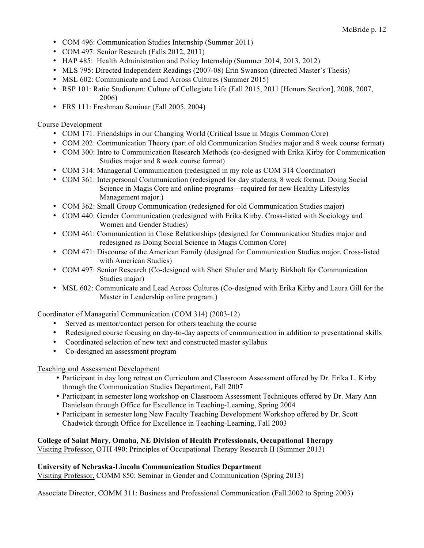- COM 496: Communication Studies Internship (Summer 2011)
- COM 497: Senior Research (Falls 2012, 2011)
- HAP 485: Health Administration and Policy Internship (Summer 2014, 2013, 2012)
- MLS 795: Directed Independent Readings (2007-08) Erin Swanson (directed Master's Thesis)
- MSL 602: Communicate and Lead Across Cultures (Summer 2015)
- RSP 101: Ratio Studiorum: Culture of Collegiate Life (Fall 2015, 2011 [Honors Section], 2008, 2007, 2006)
- FRS 111: Freshman Seminar (Fall 2005, 2004)

## Course Development

- COM 171: Friendships in our Changing World (Critical Issue in Magis Common Core)
- COM 202: Communication Theory (part of old Communication Studies major and 8 week course format)
- COM 300: Intro to Communication Research Methods (co-designed with Erika Kirby for Communication Studies major and 8 week course format)
- COM 314: Managerial Communication (redesigned in my role as COM 314 Coordinator)
- COM 361: Interpersonal Communication (redesigned for day students, 8 week format, Doing Social Science in Magis Core and online programs—required for new Healthy Lifestyles Management major.)
- COM 362: Small Group Communication (redesigned for old Communication Studies major)
- COM 440: Gender Communication (redesigned with Erika Kirby. Cross-listed with Sociology and Women and Gender Studies)
- COM 461: Communication in Close Relationships (designed for Communication Studies major and redesigned as Doing Social Science in Magis Common Core)
- COM 471: Discourse of the American Family (designed for Communication Studies major. Cross-listed with American Studies)
- COM 497: Senior Research (Co-designed with Sheri Shuler and Marty Birkholt for Communication Studies major)
- MSL 602: Communicate and Lead Across Cultures (Co-designed with Erika Kirby and Laura Gill for the Master in Leadership online program.)

## Coordinator of Managerial Communication (COM 314) (2003-12)

- Served as mentor/contact person for others teaching the course
- Redesigned course focusing on day-to-day aspects of communication in addition to presentational skills
- Coordinated selection of new text and constructed master syllabus
- Co-designed an assessment program

## Teaching and Assessment Development

- Participant in day long retreat on Curriculum and Classroom Assessment offered by Dr. Erika L. Kirby through the Communication Studies Department, Fall 2007
- Participant in semester long workshop on Classroom Assessment Techniques offered by Dr. Mary Ann Danielson through Office for Excellence in Teaching-Learning, Spring 2004
- Participant in semester long New Faculty Teaching Development Workshop offered by Dr. Scott Chadwick through Office for Excellence in Teaching-Learning, Fall 2003

## **College of Saint Mary, Omaha, NE Division of Health Professionals, Occupational Therapy**

Visiting Professor, OTH 490: Principles of Occupational Therapy Research II (Summer 2013)

## **University of Nebraska-Lincoln Communication Studies Department**

Visiting Professor, COMM 850: Seminar in Gender and Communication (Spring 2013)

Associate Director, COMM 311: Business and Professional Communication (Fall 2002 to Spring 2003)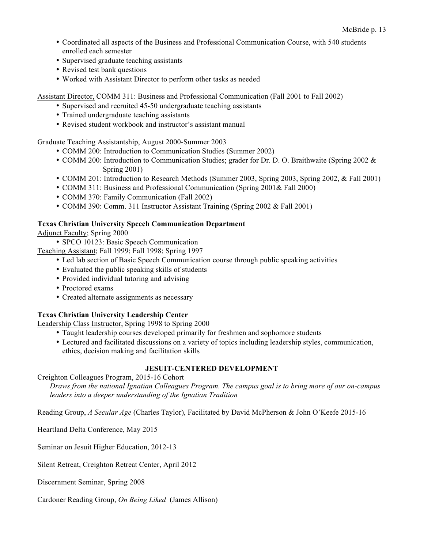- Coordinated all aspects of the Business and Professional Communication Course, with 540 students enrolled each semester
- Supervised graduate teaching assistants
- Revised test bank questions
- Worked with Assistant Director to perform other tasks as needed

Assistant Director, COMM 311: Business and Professional Communication (Fall 2001 to Fall 2002)

- Supervised and recruited 45-50 undergraduate teaching assistants
- Trained undergraduate teaching assistants
- Revised student workbook and instructor's assistant manual

Graduate Teaching Assistantship, August 2000-Summer 2003

- COMM 200: Introduction to Communication Studies (Summer 2002)
- COMM 200: Introduction to Communication Studies; grader for Dr. D. O. Braithwaite (Spring 2002 & Spring 2001)
- COMM 201: Introduction to Research Methods (Summer 2003, Spring 2003, Spring 2002, & Fall 2001)
- COMM 311: Business and Professional Communication (Spring 2001& Fall 2000)
- COMM 370: Family Communication (Fall 2002)
- COMM 390: Comm. 311 Instructor Assistant Training (Spring 2002 & Fall 2001)

## **Texas Christian University Speech Communication Department**

Adjunct Faculty; Spring 2000

- SPCO 10123: Basic Speech Communication
- Teaching Assistant; Fall 1999; Fall 1998; Spring 1997
	- Led lab section of Basic Speech Communication course through public speaking activities
	- Evaluated the public speaking skills of students
	- Provided individual tutoring and advising
	- Proctored exams
	- Created alternate assignments as necessary

### **Texas Christian University Leadership Center**

Leadership Class Instructor, Spring 1998 to Spring 2000

- Taught leadership courses developed primarily for freshmen and sophomore students
- Lectured and facilitated discussions on a variety of topics including leadership styles, communication, ethics, decision making and facilitation skills

## **JESUIT-CENTERED DEVELOPMENT**

Creighton Colleagues Program, 2015-16 Cohort

*Draws from the national Ignatian Colleagues Program. The campus goal is to bring more of our on-campus leaders into a deeper understanding of the Ignatian Tradition*

Reading Group, *A Secular Age* (Charles Taylor), Facilitated by David McPherson & John O'Keefe 2015-16

Heartland Delta Conference, May 2015

Seminar on Jesuit Higher Education, 2012-13

Silent Retreat, Creighton Retreat Center, April 2012

Discernment Seminar, Spring 2008

Cardoner Reading Group, *On Being Liked* (James Allison)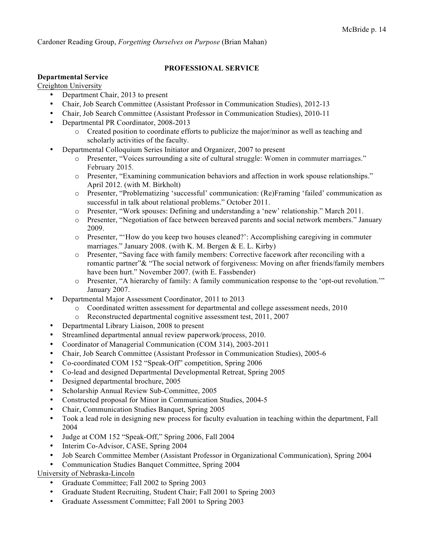## **PROFESSIONAL SERVICE**

# **Departmental Service**

Creighton University

- Department Chair, 2013 to present
- Chair, Job Search Committee (Assistant Professor in Communication Studies), 2012-13
- Chair, Job Search Committee (Assistant Professor in Communication Studies), 2010-11
- Departmental PR Coordinator, 2008-2013
	- o Created position to coordinate efforts to publicize the major/minor as well as teaching and scholarly activities of the faculty.
- Departmental Colloquium Series Initiator and Organizer, 2007 to present
	- o Presenter, "Voices surrounding a site of cultural struggle: Women in commuter marriages." February 2015.
	- o Presenter, "Examining communication behaviors and affection in work spouse relationships." April 2012. (with M. Birkholt)
	- o Presenter, "Problematizing 'successful' communication: (Re)Framing 'failed' communication as successful in talk about relational problems." October 2011.
	- o Presenter, "Work spouses: Defining and understanding a 'new' relationship." March 2011.
	- o Presenter, "Negotiation of face between bereaved parents and social network members." January 2009.
	- o Presenter, "'How do you keep two houses cleaned?': Accomplishing caregiving in commuter marriages." January 2008. (with K. M. Bergen & E. L. Kirby)
	- o Presenter, "Saving face with family members: Corrective facework after reconciling with a romantic partner"& "The social network of forgiveness: Moving on after friends/family members have been hurt." November 2007. (with E. Fassbender)
	- o Presenter, "A hierarchy of family: A family communication response to the 'opt-out revolution.'" January 2007.
- Departmental Major Assessment Coordinator, 2011 to 2013
	- o Coordinated written assessment for departmental and college assessment needs, 2010
	- o Reconstructed departmental cognitive assessment test, 2011, 2007
- Departmental Library Liaison, 2008 to present
- Streamlined departmental annual review paperwork/process, 2010.
- Coordinator of Managerial Communication (COM 314), 2003-2011
- Chair, Job Search Committee (Assistant Professor in Communication Studies), 2005-6
- Co-coordinated COM 152 "Speak-Off" competition, Spring 2006
- Co-lead and designed Departmental Developmental Retreat, Spring 2005
- Designed departmental brochure, 2005
- Scholarship Annual Review Sub-Committee, 2005
- Constructed proposal for Minor in Communication Studies, 2004-5
- Chair, Communication Studies Banquet, Spring 2005
- Took a lead role in designing new process for faculty evaluation in teaching within the department, Fall 2004
- Judge at COM 152 "Speak-Off," Spring 2006, Fall 2004
- Interim Co-Advisor, CASE, Spring 2004
- Job Search Committee Member (Assistant Professor in Organizational Communication), Spring 2004
- Communication Studies Banquet Committee, Spring 2004

# University of Nebraska-Lincoln

- Graduate Committee; Fall 2002 to Spring 2003
- Graduate Student Recruiting, Student Chair; Fall 2001 to Spring 2003
- Graduate Assessment Committee; Fall 2001 to Spring 2003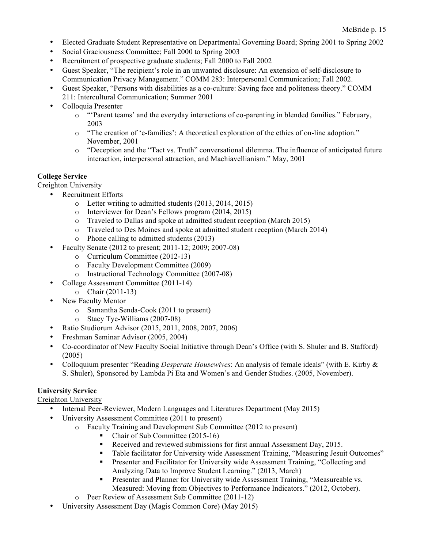- Elected Graduate Student Representative on Departmental Governing Board; Spring 2001 to Spring 2002
- Social Graciousness Committee; Fall 2000 to Spring 2003
- Recruitment of prospective graduate students; Fall 2000 to Fall 2002
- Guest Speaker, "The recipient's role in an unwanted disclosure: An extension of self-disclosure to Communication Privacy Management." COMM 283: Interpersonal Communication; Fall 2002.
- Guest Speaker, "Persons with disabilities as a co-culture: Saving face and politeness theory." COMM 211: Intercultural Communication; Summer 2001
- Colloquia Presenter
	- o "'Parent teams' and the everyday interactions of co-parenting in blended families." February, 2003
	- o "The creation of 'e-families': A theoretical exploration of the ethics of on-line adoption." November, 2001
	- o "Deception and the "Tact vs. Truth" conversational dilemma. The influence of anticipated future interaction, interpersonal attraction, and Machiavellianism." May, 2001

## **College Service**

Creighton University

- Recruitment Efforts
	- o Letter writing to admitted students (2013, 2014, 2015)
	- o Interviewer for Dean's Fellows program (2014, 2015)
	- o Traveled to Dallas and spoke at admitted student reception (March 2015)
	- o Traveled to Des Moines and spoke at admitted student reception (March 2014)
	- o Phone calling to admitted students (2013)
	- Faculty Senate (2012 to present; 2011-12; 2009; 2007-08)
		- o Curriculum Committee (2012-13)
		- o Faculty Development Committee (2009)
		- o Instructional Technology Committee (2007-08)
		- College Assessment Committee (2011-14)
			- o Chair (2011-13)
	- New Faculty Mentor
		- o Samantha Senda-Cook (2011 to present)
		- o Stacy Tye-Williams (2007-08)
	- Ratio Studiorum Advisor (2015, 2011, 2008, 2007, 2006)
	- Freshman Seminar Advisor (2005, 2004)
	- Co-coordinator of New Faculty Social Initiative through Dean's Office (with S. Shuler and B. Stafford) (2005)
	- Colloquium presenter "Reading *Desperate Housewives*: An analysis of female ideals" (with E. Kirby & S. Shuler), Sponsored by Lambda Pi Eta and Women's and Gender Studies. (2005, November).

# **University Service**

Creighton University

- Internal Peer-Reviewer, Modern Languages and Literatures Department (May 2015)
- University Assessment Committee (2011 to present)
	- o Faculty Training and Development Sub Committee (2012 to present)
		- Chair of Sub Committee (2015-16)
		- Received and reviewed submissions for first annual Assessment Day, 2015.
		- Table facilitator for University wide Assessment Training, "Measuring Jesuit Outcomes"
		- Presenter and Facilitator for University wide Assessment Training, "Collecting and Analyzing Data to Improve Student Learning." (2013, March)
		- **Presenter and Planner for University wide Assessment Training, "Measureable vs.** Measured: Moving from Objectives to Performance Indicators." (2012, October).
	- o Peer Review of Assessment Sub Committee (2011-12)
- University Assessment Day (Magis Common Core) (May 2015)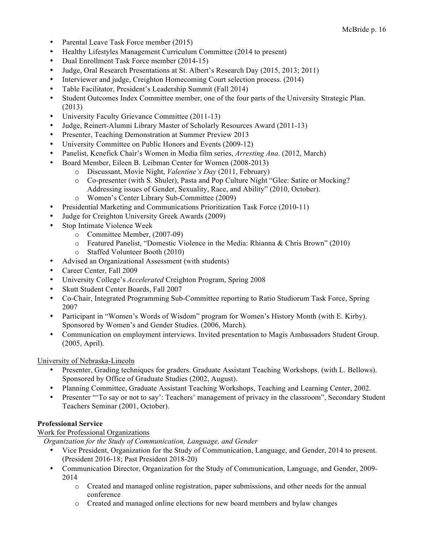- Parental Leave Task Force member (2015)
- Healthy Lifestyles Management Curriculum Committee (2014 to present)
- Dual Enrollment Task Force member (2014-15)
- Judge, Oral Research Presentations at St. Albert's Research Day (2015, 2013; 2011)
- Interviewer and judge, Creighton Homecoming Court selection process. (2014)
- Table Facilitator, President's Leadership Summit (Fall 2014)
- Student Outcomes Index Committee member, one of the four parts of the University Strategic Plan. (2013)
- University Faculty Grievance Committee (2011-13)
- Judge, Reinert-Alumni Library Master of Scholarly Resources Award (2011-13)
- Presenter, Teaching Demonstration at Summer Preview 2013
- University Committee on Public Honors and Events (2009-12)
- Panelist, Kenefick Chair's Women in Media film series, *Arresting Ana*. (2012, March)
- Board Member, Eileen B. Leibman Center for Women (2008-2013)
	- o Discussant, Movie Night, *Valentine's Day* (2011, February)
	- o Co-presenter (with S. Shuler), Pasta and Pop Culture Night "Glee: Satire or Mocking? Addressing issues of Gender, Sexuality, Race, and Ability" (2010, October).
	- o Women's Center Library Sub-Committee (2009)
- Presidential Marketing and Communications Prioritization Task Force (2010-11)
- Judge for Creighton University Greek Awards (2009)
- Stop Intimate Violence Week
	- o Committee Member, (2007-09)
	- o Featured Panelist, "Domestic Violence in the Media: Rhianna & Chris Brown" (2010)
	- o Staffed Volunteer Booth (2010)
- Advised an Organizational Assessment (with students)
- Career Center, Fall 2009
- University College's *Accelerated* Creighton Program, Spring 2008
- Skutt Student Center Boards, Fall 2007
- Co-Chair, Integrated Programming Sub-Committee reporting to Ratio Studiorum Task Force, Spring 2007
- Participant in "Women's Words of Wisdom" program for Women's History Month (with E. Kirby). Sponsored by Women's and Gender Studies. (2006, March).
- Communication on employment interviews. Invited presentation to Magis Ambassadors Student Group. (2005, April).

### University of Nebraska-Lincoln

- Presenter, Grading techniques for graders. Graduate Assistant Teaching Workshops. (with L. Bellows). Sponsored by Office of Graduate Studies (2002, August).
- Planning Committee, Graduate Assistant Teaching Workshops, Teaching and Learning Center, 2002.
- Presenter "'To say or not to say': Teachers' management of privacy in the classroom", Secondary Student Teachers Seminar (2001, October).

### **Professional Service**

## Work for Professional Organizations

*Organization for the Study of Communication, Language, and Gender*

- Vice President, Organization for the Study of Communication, Language, and Gender, 2014 to present. (President 2016-18; Past President 2018-20)
- Communication Director, Organization for the Study of Communication, Language, and Gender, 2009- 2014
	- o Created and managed online registration, paper submissions, and other needs for the annual conference
	- o Created and managed online elections for new board members and bylaw changes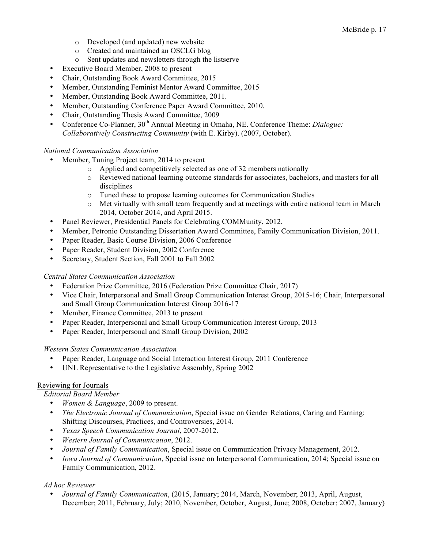- o Developed (and updated) new website
- o Created and maintained an OSCLG blog
- o Sent updates and newsletters through the listserve
- Executive Board Member, 2008 to present
- Chair, Outstanding Book Award Committee, 2015
- Member, Outstanding Feminist Mentor Award Committee, 2015
- Member, Outstanding Book Award Committee, 2011.
- Member, Outstanding Conference Paper Award Committee, 2010.
- Chair, Outstanding Thesis Award Committee, 2009
- Conference Co-Planner, 30<sup>th</sup> Annual Meeting in Omaha, NE. Conference Theme: *Dialogue: Collaboratively Constructing Community* (with E. Kirby). (2007, October).

## *National Communication Association*

- Member, Tuning Project team, 2014 to present
	- o Applied and competitively selected as one of 32 members nationally
	- o Reviewed national learning outcome standards for associates, bachelors, and masters for all disciplines
	- o Tuned these to propose learning outcomes for Communication Studies
	- o Met virtually with small team frequently and at meetings with entire national team in March 2014, October 2014, and April 2015.
- Panel Reviewer, Presidential Panels for Celebrating COMMunity, 2012.
- Member, Petronio Outstanding Dissertation Award Committee, Family Communication Division, 2011.
- Paper Reader, Basic Course Division, 2006 Conference
- Paper Reader, Student Division, 2002 Conference
- Secretary, Student Section, Fall 2001 to Fall 2002

## *Central States Communication Association*

- Federation Prize Committee, 2016 (Federation Prize Committee Chair, 2017)
- Vice Chair, Interpersonal and Small Group Communication Interest Group, 2015-16; Chair, Interpersonal and Small Group Communication Interest Group 2016-17
- Member, Finance Committee, 2013 to present
- Paper Reader, Interpersonal and Small Group Communication Interest Group, 2013
- Paper Reader, Interpersonal and Small Group Division, 2002

### *Western States Communication Association*

- Paper Reader, Language and Social Interaction Interest Group, 2011 Conference
- UNL Representative to the Legislative Assembly, Spring 2002

## Reviewing for Journals

### *Editorial Board Member*

- *Women & Language*, 2009 to present.
- *The Electronic Journal of Communication*, Special issue on Gender Relations, Caring and Earning: Shifting Discourses, Practices, and Controversies, 2014.
- *Texas Speech Communication Journal*, 2007-2012.
- *Western Journal of Communication*, 2012.
- *Journal of Family Communication*, Special issue on Communication Privacy Management, 2012.
- *Iowa Journal of Communication*, Special issue on Interpersonal Communication, 2014; Special issue on Family Communication, 2012.

## *Ad hoc Reviewer*

• *Journal of Family Communication*, (2015, January; 2014, March, November; 2013, April, August, December; 2011, February, July; 2010, November, October, August, June; 2008, October; 2007, January)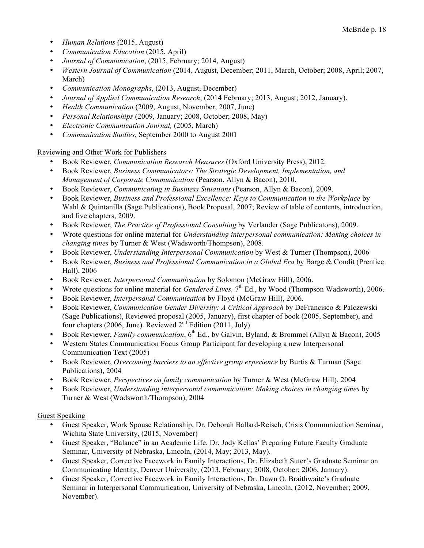- *Human Relations* (2015, August)
- *Communication Education* (2015, April)
- *Journal of Communication*, (2015, February; 2014, August)
- *Western Journal of Communication* (2014, August, December; 2011, March, October; 2008, April; 2007, March)
- *Communication Monographs*, (2013, August, December)
- *Journal of Applied Communication Research*, (2014 February; 2013, August; 2012, January).
- *Health Communication* (2009, August, November; 2007, June)
- *Personal Relationships* (2009, January; 2008, October; 2008, May)
- *Electronic Communication Journal,* (2005, March)
- *Communication Studies*, September 2000 to August 2001

Reviewing and Other Work for Publishers

- Book Reviewer, *Communication Research Measures* (Oxford University Press), 2012.
- Book Reviewer, *Business Communicators: The Strategic Development, Implementation, and Management of Corporate Communication* (Pearson, Allyn & Bacon), 2010.
- Book Reviewer, *Communicating in Business Situations* (Pearson, Allyn & Bacon), 2009.
- Book Reviewer, *Business and Professional Excellence: Keys to Communication in the Workplace* by Wahl & Quintanilla (Sage Publications), Book Proposal, 2007; Review of table of contents, introduction, and five chapters, 2009.
- Book Reviewer, *The Practice of Professional Consulting* by Verlander (Sage Publicatons), 2009.
- Wrote questions for online material for *Understanding interpersonal communication: Making choices in changing times* by Turner & West (Wadsworth/Thompson), 2008.
- Book Reviewer, *Understanding Interpersonal Communication* by West & Turner (Thompson), 2006
- Book Reviewer, *Business and Professional Communication in a Global Era* by Barge & Condit (Prentice Hall), 2006
- Book Reviewer, *Interpersonal Communication* by Solomon (McGraw Hill), 2006.
- Wrote questions for online material for *Gendered Lives,* 7th Ed., by Wood (Thompson Wadsworth), 2006.
- Book Reviewer, *Interpersonal Communication* by Floyd (McGraw Hill), 2006.
- Book Reviewer, *Communication Gender Diversity: A Critical Approach* by DeFrancisco & Palczewski (Sage Publications), Reviewed proposal (2005, January), first chapter of book (2005, September), and four chapters (2006, June). Reviewed  $2<sup>nd</sup>$  Edition (2011, July)
- Book Reviewer, *Family communication*, 6<sup>th</sup> Ed., by Galvin, Byland, & Brommel (Allyn & Bacon), 2005
- Western States Communication Focus Group Participant for developing a new Interpersonal Communication Text (2005)
- Book Reviewer, *Overcoming barriers to an effective group experience* by Burtis & Turman (Sage Publications), 2004
- Book Reviewer, *Perspectives on family communication* by Turner & West (McGraw Hill), 2004
- Book Reviewer, *Understanding interpersonal communication: Making choices in changing times* by Turner & West (Wadsworth/Thompson), 2004

## Guest Speaking

- Guest Speaker, Work Spouse Relationship, Dr. Deborah Ballard-Reisch, Crisis Communication Seminar, Wichita State University, (2015, November)
- Guest Speaker, "Balance" in an Academic Life, Dr. Jody Kellas' Preparing Future Faculty Graduate Seminar, University of Nebraska, Lincoln, (2014, May; 2013, May).
- Guest Speaker, Corrective Facework in Family Interactions, Dr. Elizabeth Suter's Graduate Seminar on Communicating Identity, Denver University, (2013, February; 2008, October; 2006, January).
- Guest Speaker, Corrective Facework in Family Interactions, Dr. Dawn O. Braithwaite's Graduate Seminar in Interpersonal Communication, University of Nebraska, Lincoln, (2012, November; 2009, November).